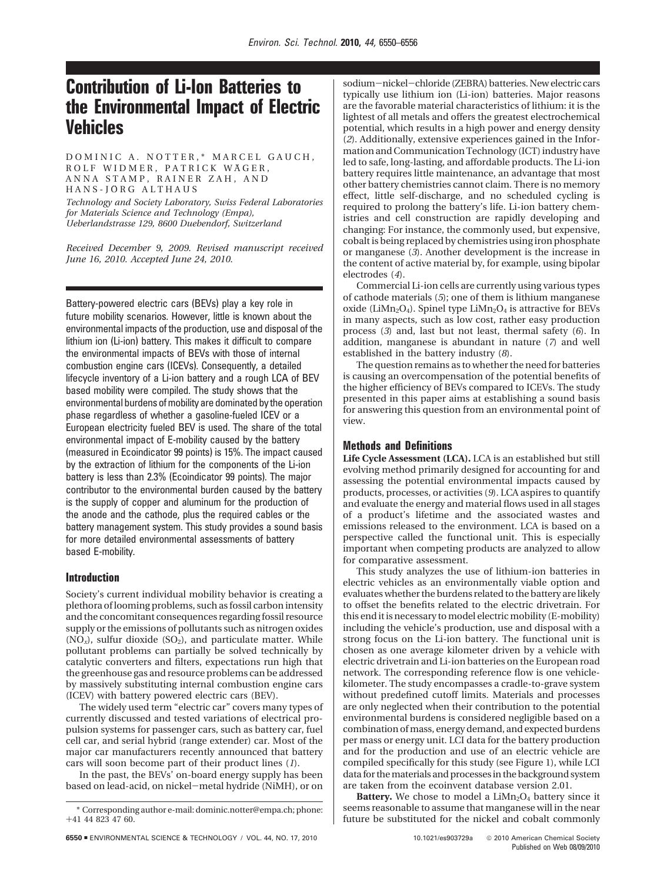# **Contribution of Li-Ion Batteries to the Environmental Impact of Electric Vehicles**

DOMINIC A. NOTTER,\* MARCEL GAUCH, ROLF WIDMER, PATRICK WAGER, ANNA STAMP, RAINER ZAH, AND HANS-JORG ALTHAUS *Technology and Society Laboratory, Swiss Federal Laboratories*

*for Materials Science and Technology (Empa), Ueberlandstrasse 129, 8600 Duebendorf, Switzerland*

*Received December 9, 2009. Revised manuscript received June 16, 2010. Accepted June 24, 2010.*

Battery-powered electric cars (BEVs) play a key role in future mobility scenarios. However, little is known about the environmental impacts of the production, use and disposal of the lithium ion (Li-ion) battery. This makes it difficult to compare the environmental impacts of BEVs with those of internal combustion engine cars (ICEVs). Consequently, a detailed lifecycle inventory of a Li-ion battery and a rough LCA of BEV based mobility were compiled. The study shows that the environmental burdens of mobility are dominated by the operation phase regardless of whether a gasoline-fueled ICEV or a European electricity fueled BEV is used. The share of the total environmental impact of E-mobility caused by the battery (measured in Ecoindicator 99 points) is 15%. The impact caused by the extraction of lithium for the components of the Li-ion battery is less than 2.3% (Ecoindicator 99 points). The major contributor to the environmental burden caused by the battery is the supply of copper and aluminum for the production of the anode and the cathode, plus the required cables or the battery management system. This study provides a sound basis for more detailed environmental assessments of battery based E-mobility.

# **Introduction**

Society's current individual mobility behavior is creating a plethora of looming problems, such as fossil carbon intensity and the concomitant consequences regarding fossil resource supply or the emissions of pollutants such as nitrogen oxides (NO<sub>x</sub>), sulfur dioxide (SO<sub>2</sub>), and particulate matter. While pollutant problems can partially be solved technically by catalytic converters and filters, expectations run high that the greenhouse gas and resource problems can be addressed by massively substituting internal combustion engine cars (ICEV) with battery powered electric cars (BEV).

The widely used term "electric car" covers many types of currently discussed and tested variations of electrical propulsion systems for passenger cars, such as battery car, fuel cell car, and serial hybrid (range extender) car. Most of the major car manufacturers recently announced that battery cars will soon become part of their product lines (*1*).

In the past, the BEVs' on-board energy supply has been based on lead-acid, on nickel-metal hydride (NiMH), or on sodium-nickel-chloride (ZEBRA) batteries. New electric cars typically use lithium ion (Li-ion) batteries. Major reasons are the favorable material characteristics of lithium: it is the lightest of all metals and offers the greatest electrochemical potential, which results in a high power and energy density (*2*). Additionally, extensive experiences gained in the Information and Communication Technology (ICT) industry have led to safe, long-lasting, and affordable products. The Li-ion battery requires little maintenance, an advantage that most other battery chemistries cannot claim. There is no memory effect, little self-discharge, and no scheduled cycling is required to prolong the battery's life. Li-ion battery chemistries and cell construction are rapidly developing and changing: For instance, the commonly used, but expensive, cobalt is being replaced by chemistries using iron phosphate or manganese (*3*). Another development is the increase in the content of active material by, for example, using bipolar electrodes (*4*).

Commercial Li-ion cells are currently using various types of cathode materials (*5*); one of them is lithium manganese oxide (LiMn<sub>2</sub>O<sub>4</sub>). Spinel type LiMn<sub>2</sub>O<sub>4</sub> is attractive for BEVs in many aspects, such as low cost, rather easy production process (*3*) and, last but not least, thermal safety (*6*). In addition, manganese is abundant in nature (*7*) and well established in the battery industry (*8*).

The question remains as to whether the need for batteries is causing an overcompensation of the potential benefits of the higher efficiency of BEVs compared to ICEVs. The study presented in this paper aims at establishing a sound basis for answering this question from an environmental point of view.

# **Methods and Definitions**

**Life Cycle Assessment (LCA).** LCA is an established but still evolving method primarily designed for accounting for and assessing the potential environmental impacts caused by products, processes, or activities (*9*). LCA aspires to quantify and evaluate the energy and material flows used in all stages of a product's lifetime and the associated wastes and emissions released to the environment. LCA is based on a perspective called the functional unit. This is especially important when competing products are analyzed to allow for comparative assessment.

This study analyzes the use of lithium-ion batteries in electric vehicles as an environmentally viable option and evaluates whether the burdens related to the battery are likely to offset the benefits related to the electric drivetrain. For this end it is necessary to model electric mobility (E-mobility) including the vehicle's production, use and disposal with a strong focus on the Li-ion battery. The functional unit is chosen as one average kilometer driven by a vehicle with electric drivetrain and Li-ion batteries on the European road network. The corresponding reference flow is one vehiclekilometer. The study encompasses a cradle-to-grave system without predefined cutoff limits. Materials and processes are only neglected when their contribution to the potential environmental burdens is considered negligible based on a combination of mass, energy demand, and expected burdens per mass or energy unit. LCI data for the battery production and for the production and use of an electric vehicle are compiled specifically for this study (see Figure 1), while LCI data for the materials and processes in the background system are taken from the ecoinvent database version 2.01.

**Battery.** We chose to model a  $LiMn<sub>2</sub>O<sub>4</sub>$  battery since it seems reasonable to assume that manganese will in the near future be substituted for the nickel and cobalt commonly

<sup>\*</sup> Corresponding author e-mail: dominic.notter@empa.ch; phone: +41 44 823 47 60.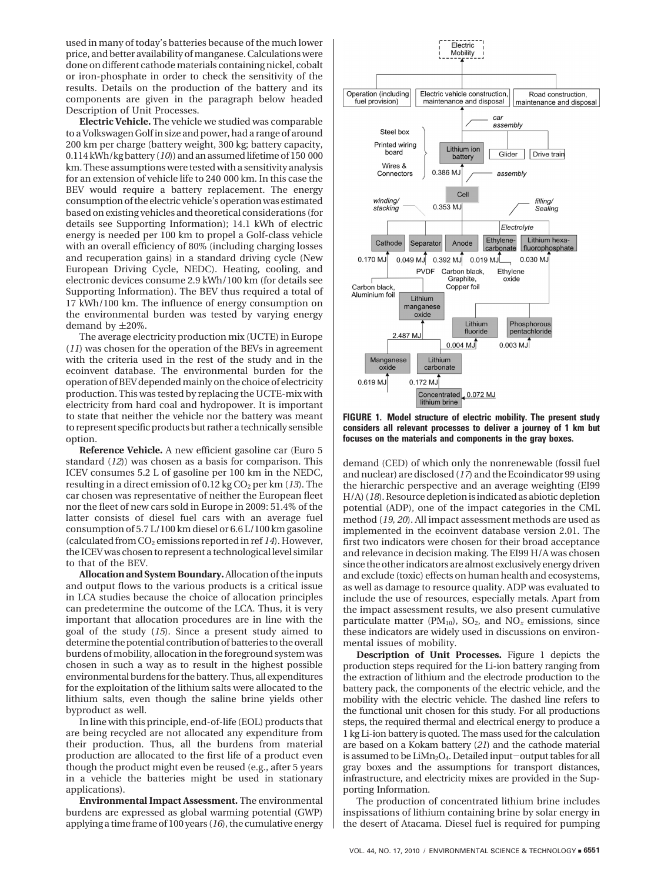used in many of today's batteries because of the much lower price, and better availability of manganese. Calculations were done on different cathode materials containing nickel, cobalt or iron-phosphate in order to check the sensitivity of the results. Details on the production of the battery and its components are given in the paragraph below headed Description of Unit Processes.

**Electric Vehicle.** The vehicle we studied was comparable to a Volkswagen Golf in size and power, had a range of around 200 km per charge (battery weight, 300 kg; battery capacity, 0.114 kWh/kg battery (*10*)) and an assumed lifetime of 150 000 km. These assumptions were tested with a sensitivity analysis for an extension of vehicle life to 240 000 km. In this case the BEV would require a battery replacement. The energy consumption of the electric vehicle's operation was estimated based on existing vehicles and theoretical considerations (for details see Supporting Information); 14.1 kWh of electric energy is needed per 100 km to propel a Golf-class vehicle with an overall efficiency of 80% (including charging losses and recuperation gains) in a standard driving cycle (New European Driving Cycle, NEDC). Heating, cooling, and electronic devices consume 2.9 kWh/100 km (for details see Supporting Information). The BEV thus required a total of 17 kWh/100 km. The influence of energy consumption on the environmental burden was tested by varying energy demand by  $\pm 20\%$ .

The average electricity production mix (UCTE) in Europe (*11*) was chosen for the operation of the BEVs in agreement with the criteria used in the rest of the study and in the ecoinvent database. The environmental burden for the operation of BEV depended mainly on the choice of electricity production. This was tested by replacing the UCTE-mix with electricity from hard coal and hydropower. It is important to state that neither the vehicle nor the battery was meant to represent specific products but rather a technically sensible option.

**Reference Vehicle.** A new efficient gasoline car (Euro 5 standard (*12*)) was chosen as a basis for comparison. This ICEV consumes 5.2 L of gasoline per 100 km in the NEDC, resulting in a direct emission of 0.12 kg CO<sub>2</sub> per km (13). The car chosen was representative of neither the European fleet nor the fleet of new cars sold in Europe in 2009: 51.4% of the latter consists of diesel fuel cars with an average fuel consumption of 5.7 L/100 km diesel or 6.6 L/100 km gasoline (calculated from CO<sub>2</sub> emissions reported in ref 14). However, the ICEV was chosen to represent a technological level similar to that of the BEV.

**Allocation and System Boundary.**Allocation of the inputs and output flows to the various products is a critical issue in LCA studies because the choice of allocation principles can predetermine the outcome of the LCA. Thus, it is very important that allocation procedures are in line with the goal of the study (*15*). Since a present study aimed to determine the potential contribution of batteries to the overall burdens of mobility, allocation in the foreground system was chosen in such a way as to result in the highest possible environmental burdens for the battery. Thus, all expenditures for the exploitation of the lithium salts were allocated to the lithium salts, even though the saline brine yields other byproduct as well.

In line with this principle, end-of-life (EOL) products that are being recycled are not allocated any expenditure from their production. Thus, all the burdens from material production are allocated to the first life of a product even though the product might even be reused (e.g., after 5 years in a vehicle the batteries might be used in stationary applications).

**Environmental Impact Assessment.** The environmental burdens are expressed as global warming potential (GWP) applying a time frame of 100 years (*16*), the cumulative energy



**FIGURE 1. Model structure of electric mobility. The present study considers all relevant processes to deliver a journey of 1 km but focuses on the materials and components in the gray boxes.**

demand (CED) of which only the nonrenewable (fossil fuel and nuclear) are disclosed (*17*) and the Ecoindicator 99 using the hierarchic perspective and an average weighting (EI99 H/A) (*18*). Resource depletion is indicated as abiotic depletion potential (ADP), one of the impact categories in the CML method (*19, 20*). All impact assessment methods are used as implemented in the ecoinvent database version 2.01. The first two indicators were chosen for their broad acceptance and relevance in decision making. The EI99 H/A was chosen since the other indicators are almost exclusively energy driven and exclude (toxic) effects on human health and ecosystems, as well as damage to resource quality. ADP was evaluated to include the use of resources, especially metals. Apart from the impact assessment results, we also present cumulative particulate matter (PM<sub>10</sub>), SO<sub>2</sub>, and NO<sub>x</sub> emissions, since these indicators are widely used in discussions on environmental issues of mobility.

**Description of Unit Processes.** Figure 1 depicts the production steps required for the Li-ion battery ranging from the extraction of lithium and the electrode production to the battery pack, the components of the electric vehicle, and the mobility with the electric vehicle. The dashed line refers to the functional unit chosen for this study. For all productions steps, the required thermal and electrical energy to produce a 1 kg Li-ion battery is quoted. The mass used for the calculation are based on a Kokam battery (*21*) and the cathode material is assumed to be  $LiMn<sub>2</sub>O<sub>4</sub>$ . Detailed input-output tables for all gray boxes and the assumptions for transport distances, infrastructure, and electricity mixes are provided in the Supporting Information.

The production of concentrated lithium brine includes inspissations of lithium containing brine by solar energy in the desert of Atacama. Diesel fuel is required for pumping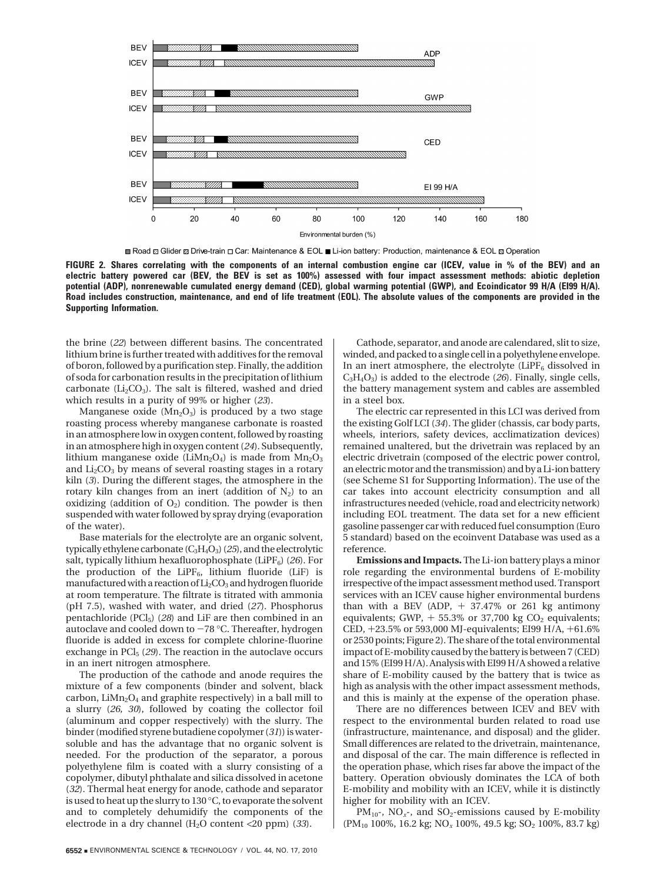

**■ Road a Glider z Drive-train □ Car: Maintenance & EOL ■ Li-ion battery: Production, maintenance & EOL & Operation** 

**FIGURE 2. Shares correlating with the components of an internal combustion engine car (ICEV, value in % of the BEV) and an electric battery powered car (BEV, the BEV is set as 100%) assessed with four impact assessment methods: abiotic depletion potential (ADP), nonrenewable cumulated energy demand (CED), global warming potential (GWP), and Ecoindicator 99 H/A (EI99 H/A). Road includes construction, maintenance, and end of life treatment (EOL). The absolute values of the components are provided in the Supporting Information.**

the brine (*22*) between different basins. The concentrated lithium brine is further treated with additives for the removal of boron, followed by a purification step. Finally, the addition of soda for carbonation results in the precipitation of lithium carbonate ( $Li<sub>2</sub>CO<sub>3</sub>$ ). The salt is filtered, washed and dried which results in a purity of 99% or higher (*23*).

Manganese oxide  $(Mn<sub>2</sub>O<sub>3</sub>)$  is produced by a two stage roasting process whereby manganese carbonate is roasted in an atmosphere low in oxygen content, followed by roasting in an atmosphere high in oxygen content (*24*). Subsequently, lithium manganese oxide (LiMn<sub>2</sub>O<sub>4</sub>) is made from  $Mn_2O_3$ and  $Li<sub>2</sub>CO<sub>3</sub>$  by means of several roasting stages in a rotary kiln (*3*). During the different stages, the atmosphere in the rotary kiln changes from an inert (addition of  $N_2$ ) to an oxidizing (addition of  $O_2$ ) condition. The powder is then suspended with water followed by spray drying (evaporation of the water).

Base materials for the electrolyte are an organic solvent, typically ethylene carbonate  $(C_3H_4O_3)$  (25), and the electrolytic salt, typically lithium hexafluorophosphate (LiPF<sub>6</sub>) (26). For the production of the LiPF $_6$ , lithium fluoride (LiF) is manufactured with a reaction of  $Li<sub>2</sub>CO<sub>3</sub>$  and hydrogen fluoride at room temperature. The filtrate is titrated with ammonia (pH 7.5), washed with water, and dried (*27*). Phosphorus pentachloride (PCl5) (*28*) and LiF are then combined in an autoclave and cooled down to  $-78$  °C. Thereafter, hydrogen fluoride is added in excess for complete chlorine-fluorine exchange in  $\text{PCl}_5$  (29). The reaction in the autoclave occurs in an inert nitrogen atmosphere.

The production of the cathode and anode requires the mixture of a few components (binder and solvent, black carbon,  $LiMn<sub>2</sub>O<sub>4</sub>$  and graphite respectively) in a ball mill to a slurry (*26, 30*), followed by coating the collector foil (aluminum and copper respectively) with the slurry. The binder (modified styrene butadiene copolymer (*31*)) is watersoluble and has the advantage that no organic solvent is needed. For the production of the separator, a porous polyethylene film is coated with a slurry consisting of a copolymer, dibutyl phthalate and silica dissolved in acetone (*32*). Thermal heat energy for anode, cathode and separator is used to heat up the slurry to 130 °C, to evaporate the solvent and to completely dehumidify the components of the electrode in a dry channel (H2O content <20 ppm) (*33*).

Cathode, separator, and anode are calendared, slit to size, winded, and packed to a single cell in a polyethylene envelope. In an inert atmosphere, the electrolyte  $(LiPF_6$  dissolved in C3H4O3) is added to the electrode (*26*). Finally, single cells, the battery management system and cables are assembled in a steel box.

The electric car represented in this LCI was derived from the existing Golf LCI (*34*). The glider (chassis, car body parts, wheels, interiors, safety devices, acclimatization devices) remained unaltered, but the drivetrain was replaced by an electric drivetrain (composed of the electric power control, an electric motor and the transmission) and by a Li-ion battery (see Scheme S1 for Supporting Information). The use of the car takes into account electricity consumption and all infrastructures needed (vehicle, road and electricity network) including EOL treatment. The data set for a new efficient gasoline passenger car with reduced fuel consumption (Euro 5 standard) based on the ecoinvent Database was used as a reference.

**Emissions and Impacts.** The Li-ion battery plays a minor role regarding the environmental burdens of E-mobility irrespective of the impact assessment method used. Transport services with an ICEV cause higher environmental burdens than with a BEV (ADP,  $+$  37.47% or 261 kg antimony equivalents; GWP,  $+ 55.3\%$  or 37,700 kg CO<sub>2</sub> equivalents; CED, +23.5% or 593,000 MJ-equivalents; EI99 H/A, +61.6% or 2530 points; Figure 2). The share of the total environmental impact of E-mobility caused by the battery is between 7 (CED) and 15% (EI99 H/A). Analysis with EI99 H/A showed a relative share of E-mobility caused by the battery that is twice as high as analysis with the other impact assessment methods, and this is mainly at the expense of the operation phase.

There are no differences between ICEV and BEV with respect to the environmental burden related to road use (infrastructure, maintenance, and disposal) and the glider. Small differences are related to the drivetrain, maintenance, and disposal of the car. The main difference is reflected in the operation phase, which rises far above the impact of the battery. Operation obviously dominates the LCA of both E-mobility and mobility with an ICEV, while it is distinctly higher for mobility with an ICEV.

 $PM_{10}$ -, NO<sub>x</sub>-, and SO<sub>2</sub>-emissions caused by E-mobility (PM<sub>10</sub> 100%, 16.2 kg; NO<sub>x</sub> 100%, 49.5 kg; SO<sub>2</sub> 100%, 83.7 kg)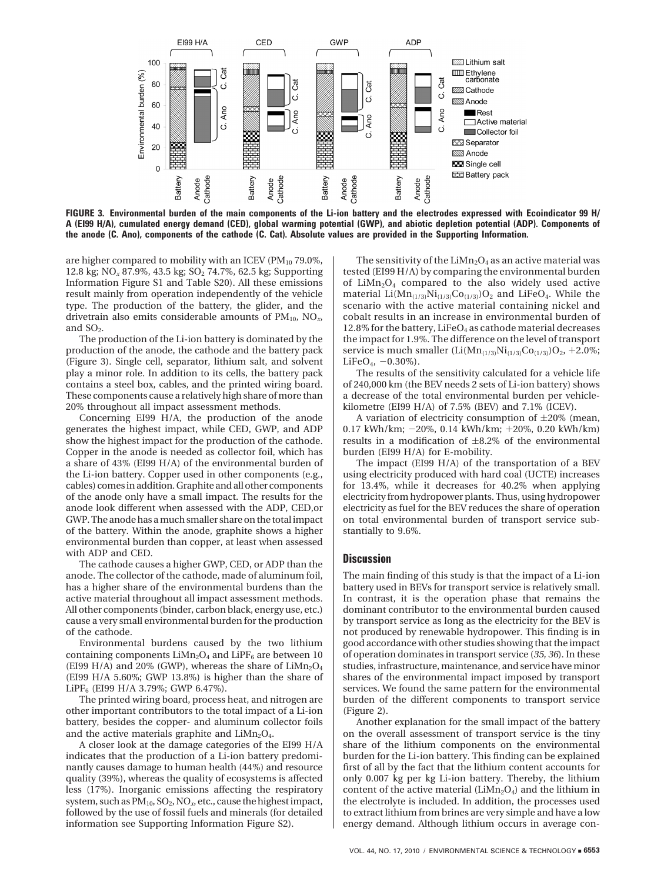

**FIGURE 3. Environmental burden of the main components of the Li-ion battery and the electrodes expressed with Ecoindicator 99 H/ A (EI99 H/A), cumulated energy demand (CED), global warming potential (GWP), and abiotic depletion potential (ADP). Components of the anode (C. Ano), components of the cathode (C. Cat). Absolute values are provided in the Supporting Information.**

are higher compared to mobility with an ICEV ( $PM_{10}$  79.0%, 12.8 kg; NO<sub>x</sub> 87.9%, 43.5 kg; SO<sub>2</sub> 74.7%, 62.5 kg; Supporting Information Figure S1 and Table S20). All these emissions result mainly from operation independently of the vehicle type. The production of the battery, the glider, and the drivetrain also emits considerable amounts of PM10, NO*x*, and  $SO<sub>2</sub>$ .

The production of the Li-ion battery is dominated by the production of the anode, the cathode and the battery pack (Figure 3). Single cell, separator, lithium salt, and solvent play a minor role. In addition to its cells, the battery pack contains a steel box, cables, and the printed wiring board. These components cause a relatively high share of more than 20% throughout all impact assessment methods.

Concerning EI99 H/A, the production of the anode generates the highest impact, while CED, GWP, and ADP show the highest impact for the production of the cathode. Copper in the anode is needed as collector foil, which has a share of 43% (EI99 H/A) of the environmental burden of the Li-ion battery. Copper used in other components (e.g., cables) comes in addition. Graphite and all other components of the anode only have a small impact. The results for the anode look different when assessed with the ADP, CED,or GWP. The anode has a much smaller share on the total impact of the battery. Within the anode, graphite shows a higher environmental burden than copper, at least when assessed with ADP and CED.

The cathode causes a higher GWP, CED, or ADP than the anode. The collector of the cathode, made of aluminum foil, has a higher share of the environmental burdens than the active material throughout all impact assessment methods. All other components (binder, carbon black, energy use, etc.) cause a very small environmental burden for the production of the cathode.

Environmental burdens caused by the two lithium containing components  $LiMn<sub>2</sub>O<sub>4</sub>$  and  $LiPF<sub>6</sub>$  are between 10 (EI99 H/A) and 20% (GWP), whereas the share of  $LiMn<sub>2</sub>O<sub>4</sub>$ (EI99 H/A 5.60%; GWP 13.8%) is higher than the share of LiPF<sub>6</sub> (EI99 H/A 3.79%; GWP 6.47%).

The printed wiring board, process heat, and nitrogen are other important contributors to the total impact of a Li-ion battery, besides the copper- and aluminum collector foils and the active materials graphite and  $LiMn<sub>2</sub>O<sub>4</sub>$ .

A closer look at the damage categories of the EI99 H/A indicates that the production of a Li-ion battery predominantly causes damage to human health (44%) and resource quality (39%), whereas the quality of ecosystems is affected less (17%). Inorganic emissions affecting the respiratory system, such as  $PM_{10}$ ,  $SO_2$ ,  $NO_x$ , etc., cause the highest impact, followed by the use of fossil fuels and minerals (for detailed information see Supporting Information Figure S2).

The sensitivity of the  $LiMn<sub>2</sub>O<sub>4</sub>$  as an active material was tested (EI99 H/A) by comparing the environmental burden of  $LiMn<sub>2</sub>O<sub>4</sub>$  compared to the also widely used active material  $Li(Mn_{(1/3)}Ni_{(1/3)}Co_{(1/3)})O_2$  and  $LiFeO_4$ . While the scenario with the active material containing nickel and cobalt results in an increase in environmental burden of 12.8% for the battery, LiFe $O_4$  as cathode material decreases the impact for 1.9%. The difference on the level of transport service is much smaller  $(Li(Mn_{(1/3)}Ni_{(1/3)}Co_{(1/3)})O_2$ , +2.0%;  $LiFeO<sub>4</sub> - 0.30\%$ ).

The results of the sensitivity calculated for a vehicle life of 240,000 km (the BEV needs 2 sets of Li-ion battery) shows a decrease of the total environmental burden per vehiclekilometre (EI99 H/A) of 7.5% (BEV) and 7.1% (ICEV).

A variation of electricity consumption of  $\pm 20\%$  (mean, 0.17 kWh/km; -20%, 0.14 kWh/km; +20%, 0.20 kWh/km) results in a modification of  $\pm 8.2\%$  of the environmental burden (EI99 H/A) for E-mobility.

The impact (EI99 H/A) of the transportation of a BEV using electricity produced with hard coal (UCTE) increases for 13.4%, while it decreases for 40.2% when applying electricity from hydropower plants. Thus, using hydropower electricity as fuel for the BEV reduces the share of operation on total environmental burden of transport service substantially to 9.6%.

## **Discussion**

The main finding of this study is that the impact of a Li-ion battery used in BEVs for transport service is relatively small. In contrast, it is the operation phase that remains the dominant contributor to the environmental burden caused by transport service as long as the electricity for the BEV is not produced by renewable hydropower. This finding is in good accordance with other studies showing that the impact of operation dominates in transport service (*35, 36*). In these studies, infrastructure, maintenance, and service have minor shares of the environmental impact imposed by transport services. We found the same pattern for the environmental burden of the different components to transport service (Figure 2).

Another explanation for the small impact of the battery on the overall assessment of transport service is the tiny share of the lithium components on the environmental burden for the Li-ion battery. This finding can be explained first of all by the fact that the lithium content accounts for only 0.007 kg per kg Li-ion battery. Thereby, the lithium content of the active material  $(LiMn<sub>2</sub>O<sub>4</sub>)$  and the lithium in the electrolyte is included. In addition, the processes used to extract lithium from brines are very simple and have a low energy demand. Although lithium occurs in average con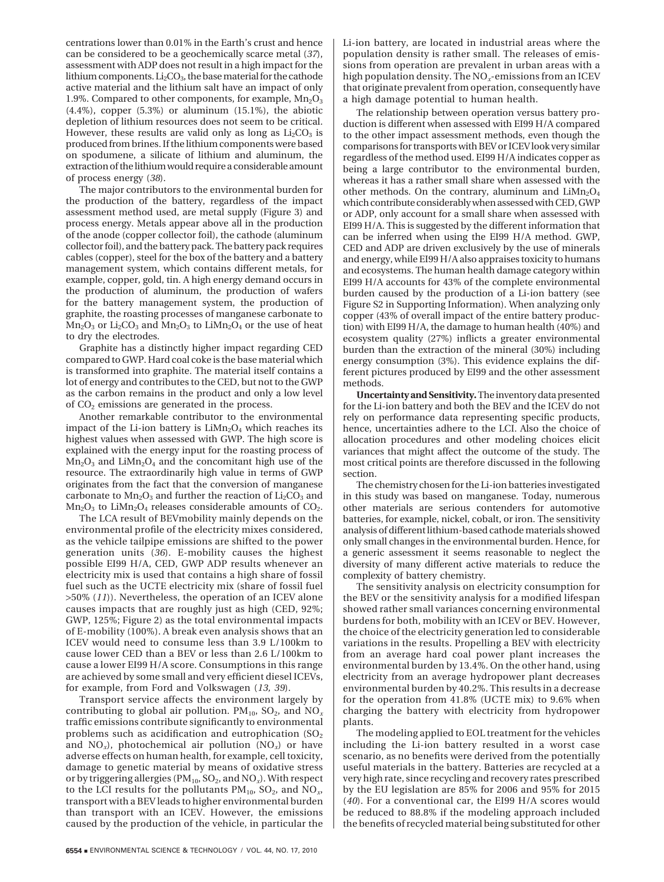centrations lower than 0.01% in the Earth's crust and hence can be considered to be a geochemically scarce metal (*37*), assessment with ADP does not result in a high impact for the lithium components.  $Li<sub>2</sub>CO<sub>3</sub>$ , the base material for the cathode active material and the lithium salt have an impact of only 1.9%. Compared to other components, for example,  $Mn_2O_3$  $(4.4\%)$ , copper  $(5.3\%)$  or aluminum  $(15.1\%)$ , the abiotic depletion of lithium resources does not seem to be critical. However, these results are valid only as long as  $Li<sub>2</sub>CO<sub>3</sub>$  is produced from brines. If the lithium components were based on spodumene, a silicate of lithium and aluminum, the extraction of the lithium would require a considerable amount of process energy (*38*).

The major contributors to the environmental burden for the production of the battery, regardless of the impact assessment method used, are metal supply (Figure 3) and process energy. Metals appear above all in the production of the anode (copper collector foil), the cathode (aluminum collector foil), and the battery pack. The battery pack requires cables (copper), steel for the box of the battery and a battery management system, which contains different metals, for example, copper, gold, tin. A high energy demand occurs in the production of aluminum, the production of wafers for the battery management system, the production of graphite, the roasting processes of manganese carbonate to  $Mn_2O_3$  or  $Li_2CO_3$  and  $Mn_2O_3$  to  $LiMn_2O_4$  or the use of heat to dry the electrodes.

Graphite has a distinctly higher impact regarding CED compared to GWP. Hard coal coke is the base material which is transformed into graphite. The material itself contains a lot of energy and contributes to the CED, but not to the GWP as the carbon remains in the product and only a low level of  $CO<sub>2</sub>$  emissions are generated in the process.

Another remarkable contributor to the environmental impact of the Li-ion battery is  $Lim<sub>2</sub>O<sub>4</sub>$  which reaches its highest values when assessed with GWP. The high score is explained with the energy input for the roasting process of  $Mn_2O_3$  and  $LiMn_2O_4$  and the concomitant high use of the resource. The extraordinarily high value in terms of GWP originates from the fact that the conversion of manganese carbonate to  $Mn_2O_3$  and further the reaction of  $Li_2CO_3$  and  $Mn_2O_3$  to LiMn<sub>2</sub>O<sub>4</sub> releases considerable amounts of CO<sub>2</sub>.

The LCA result of BEVmobility mainly depends on the environmental profile of the electricity mixes considered, as the vehicle tailpipe emissions are shifted to the power generation units (*36*). E-mobility causes the highest possible EI99 H/A, CED, GWP ADP results whenever an electricity mix is used that contains a high share of fossil fuel such as the UCTE electricity mix (share of fossil fuel >50% (*11*)). Nevertheless, the operation of an ICEV alone causes impacts that are roughly just as high (CED, 92%; GWP, 125%; Figure 2) as the total environmental impacts of E-mobility (100%). A break even analysis shows that an ICEV would need to consume less than 3.9 L/100km to cause lower CED than a BEV or less than 2.6 L/100km to cause a lower EI99 H/A score. Consumptions in this range are achieved by some small and very efficient diesel ICEVs, for example, from Ford and Volkswagen (*13, 39*).

Transport service affects the environment largely by contributing to global air pollution.  $PM_{10}$ ,  $SO_2$ , and  $NO_x$ traffic emissions contribute significantly to environmental problems such as acidification and eutrophication  $(SO<sub>2</sub>)$ and NO*x*), photochemical air pollution (NO*x*) or have adverse effects on human health, for example, cell toxicity, damage to genetic material by means of oxidative stress or by triggering allergies  $(PM_{10}, SO_2, and NO_x)$ . With respect to the LCI results for the pollutants  $PM_{10}$ ,  $SO_2$ , and  $NO_x$ , transport with a BEV leads to higher environmental burden than transport with an ICEV. However, the emissions caused by the production of the vehicle, in particular the Li-ion battery, are located in industrial areas where the population density is rather small. The releases of emissions from operation are prevalent in urban areas with a high population density. The NO*x*-emissions from an ICEV that originate prevalent from operation, consequently have a high damage potential to human health.

The relationship between operation versus battery production is different when assessed with EI99 H/A compared to the other impact assessment methods, even though the comparisons for transports with BEV or ICEV look very similar regardless of the method used. EI99 H/A indicates copper as being a large contributor to the environmental burden, whereas it has a rather small share when assessed with the other methods. On the contrary, aluminum and  $LiMn<sub>2</sub>O<sub>4</sub>$ which contribute considerably when assessed with CED, GWP or ADP, only account for a small share when assessed with EI99 H/A. This is suggested by the different information that can be inferred when using the EI99 H/A method. GWP, CED and ADP are driven exclusively by the use of minerals and energy, while EI99 H/A also appraises toxicity to humans and ecosystems. The human health damage category within EI99 H/A accounts for 43% of the complete environmental burden caused by the production of a Li-ion battery (see Figure S2 in Supporting Information). When analyzing only copper (43% of overall impact of the entire battery production) with EI99 H/A, the damage to human health (40%) and ecosystem quality (27%) inflicts a greater environmental burden than the extraction of the mineral (30%) including energy consumption (3%). This evidence explains the different pictures produced by EI99 and the other assessment methods.

**Uncertainty and Sensitivity.**The inventory data presented for the Li-ion battery and both the BEV and the ICEV do not rely on performance data representing specific products, hence, uncertainties adhere to the LCI. Also the choice of allocation procedures and other modeling choices elicit variances that might affect the outcome of the study. The most critical points are therefore discussed in the following section.

The chemistry chosen for the Li-ion batteries investigated in this study was based on manganese. Today, numerous other materials are serious contenders for automotive batteries, for example, nickel, cobalt, or iron. The sensitivity analysis of different lithium-based cathode materials showed only small changes in the environmental burden. Hence, for a generic assessment it seems reasonable to neglect the diversity of many different active materials to reduce the complexity of battery chemistry.

The sensitivity analysis on electricity consumption for the BEV or the sensitivity analysis for a modified lifespan showed rather small variances concerning environmental burdens for both, mobility with an ICEV or BEV. However, the choice of the electricity generation led to considerable variations in the results. Propelling a BEV with electricity from an average hard coal power plant increases the environmental burden by 13.4%. On the other hand, using electricity from an average hydropower plant decreases environmental burden by 40.2%. This results in a decrease for the operation from 41.8% (UCTE mix) to 9.6% when charging the battery with electricity from hydropower plants.

The modeling applied to EOL treatment for the vehicles including the Li-ion battery resulted in a worst case scenario, as no benefits were derived from the potentially useful materials in the battery. Batteries are recycled at a very high rate, since recycling and recovery rates prescribed by the EU legislation are 85% for 2006 and 95% for 2015 (*40*). For a conventional car, the EI99 H/A scores would be reduced to 88.8% if the modeling approach included the benefits of recycled material being substituted for other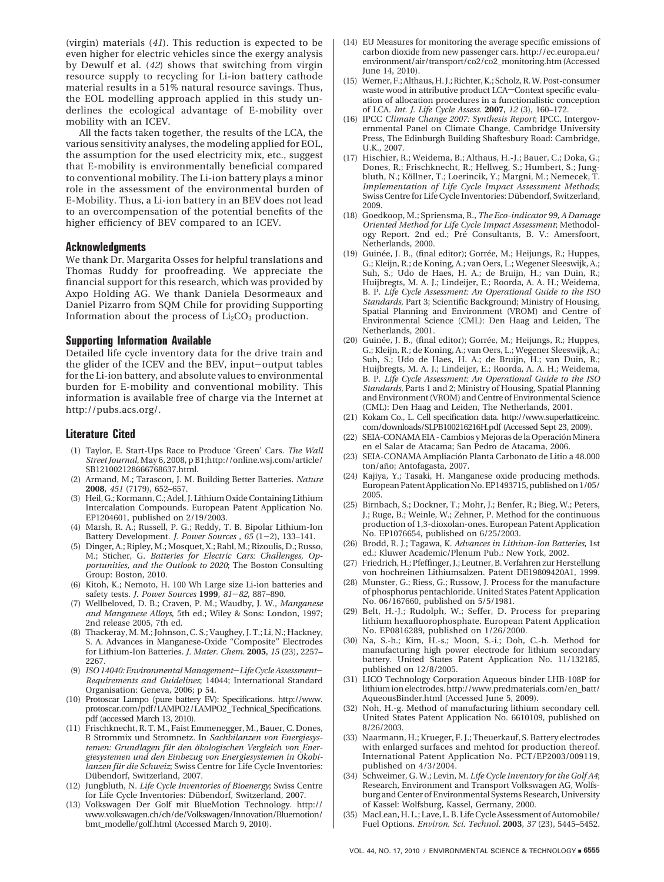(virgin) materials (*41*). This reduction is expected to be even higher for electric vehicles since the exergy analysis by Dewulf et al. (*42*) shows that switching from virgin resource supply to recycling for Li-ion battery cathode material results in a 51% natural resource savings. Thus, the EOL modelling approach applied in this study underlines the ecological advantage of E-mobility over mobility with an ICEV.

All the facts taken together, the results of the LCA, the various sensitivity analyses, the modeling applied for EOL, the assumption for the used electricity mix, etc., suggest that E-mobility is environmentally beneficial compared to conventional mobility. The Li-ion battery plays a minor role in the assessment of the environmental burden of E-Mobility. Thus, a Li-ion battery in an BEV does not lead to an overcompensation of the potential benefits of the higher efficiency of BEV compared to an ICEV.

### **Acknowledgments**

We thank Dr. Margarita Osses for helpful translations and Thomas Ruddy for proofreading. We appreciate the financial support for this research, which was provided by Axpo Holding AG. We thank Daniela Desormeaux and Daniel Pizarro from SQM Chile for providing Supporting Information about the process of  $Li<sub>2</sub>CO<sub>3</sub>$  production.

#### **Supporting Information Available**

Detailed life cycle inventory data for the drive train and the glider of the ICEV and the BEV, input-output tables for the Li-ion battery, and absolute values to environmental burden for E-mobility and conventional mobility. This information is available free of charge via the Internet at http://pubs.acs.org/.

#### **Literature Cited**

- (1) Taylor, E. Start-Ups Race to Produce 'Green' Cars. *The Wall Street Journal*, May 6, 2008, p B1;http://online.wsj.com/article/ SB121002128666768637.html.
- (2) Armand, M.; Tarascon, J. M. Building Better Batteries. *Nature* **2008**, *451* (7179), 652–657.
- (3) Heil, G.; Kormann, C.; Adel, J. Lithium Oxide Containing Lithium Intercalation Compounds. European Patent Application No. EP1204601, published on 2/19/2003.
- (4) Marsh, R. A.; Russell, P. G.; Reddy, T. B. Bipolar Lithium-Ion Battery Development. *J. Power Sources* , *<sup>65</sup>* (1-2), 133–141.
- (5) Dinger, A.; Ripley, M.; Mosquet, X.; Rabl, M.; Rizoulis, D.; Russo, M.; Sticher, G. *Batteries for Electric Cars: Challenges, Opportunities, and the Outlook to 2020*; The Boston Consulting Group: Boston, 2010.
- (6) Kitoh, K.; Nemoto, H. 100 Wh Large size Li-ion batteries and safety tests. *J. Power Sources* **1999**,  $81-82$ ,  $887-890$ .
- safety tests. *J. Power Sources* **<sup>1999</sup>**, *<sup>81</sup>*-*82*, 887–890. (7) Wellbeloved, D. B.; Craven, P. M.; Waudby, J. W., *Manganese and Manganese Alloys*, 5th ed.; Wiley & Sons: London, 1997; 2nd release 2005, 7th ed.
- (8) Thackeray, M. M.; Johnson, C. S.; Vaughey, J. T.; Li, N.; Hackney, S. A. Advances in Manganese-Oxide "Composite" Electrodes for Lithium-Ion Batteries. *J. Mater. Chem.* **2005**, *15* (23), 2257– 2267.
- (9) *ISO 14040: EnvironmentalManagement*-*Life Cycle Assessment*-*Requirements and Guidelines*; 14044; International Standard Organisation: Geneva, 2006; p 54.
- (10) Protoscar Lampo (pure battery EV): Specifications. http://www. protoscar.com/pdf/LAMPO2/LAMPO2\_Technical\_Specifications. pdf (accessed March 13, 2010).
- (11) Frischknecht, R. T. M., Faist Emmenegger, M., Bauer, C. Dones, R Strommix und Stromnetz. In *Sachbilanzen von Energiesys*temen: Grundlagen für den ökologischen Vergleich von Energiesystemen und den Einbezug von Energiesystemen in Ökobi*lanzen für die Schweiz*; Swiss Centre for Life Cycle Inventories: Dübendorf, Switzerland, 2007.
- (12) Jungbluth, N. *Life Cycle Inventories of Bioenergy*; Swiss Centre for Life Cycle Inventories: Dübendorf, Switzerland, 2007.
- (13) Volkswagen Der Golf mit BlueMotion Technology. http:// www.volkswagen.ch/ch/de/Volkswagen/Innovation/Bluemotion/ bmt\_modelle/golf.html (Accessed March 9, 2010).
- (14) EU Measures for monitoring the average specific emissions of carbon dioxide from new passenger cars. http://ec.europa.eu/ environment/air/transport/co2/co2\_monitoring.htm (Accessed June 14, 2010).
- (15) Werner, F.; Althaus, H. J.; Richter, K.; Scholz, R. W. Post-consumer waste wood in attributive product LCA-Context specific evaluation of allocation procedures in a functionalistic conception of LCA. *Int. J. Life Cycle Assess.* **2007**, *12* (3), 160–172.
- (16) IPCC *Climate Change 2007: Synthesis Report*; IPCC, Intergovernmental Panel on Climate Change, Cambridge University Press, The Edinburgh Building Shaftesbury Road: Cambridge, U.K., 2007.
- (17) Hischier, R.; Weidema, B.; Althaus, H.-J.; Bauer, C.; Doka, G.; Dones, R.; Frischknecht, R.; Hellweg, S.; Humbert, S.; Jungbluth, N.; Köllner, T.; Loerincik, Y.; Margni, M.; Nemecek, T. *Implementation of Life Cycle Impact Assessment Methods*; Swiss Centre for Life Cycle Inventories: Dübendorf, Switzerland, 2009.
- (18) Goedkoop, M.; Spriensma, R., *The Eco-indicator 99, A Damage Oriented Method for Life Cycle Impact Assessment*; Methodology Report. 2nd ed.; Pré Consultants, B. V.: Amersfoort, Netherlands, 2000.
- (19) Guinée, J. B., (final editor); Gorrée, M.; Heijungs, R.; Huppes, G.; Kleijn, R.; de Koning, A.; van Oers, L.; Wegener Sleeswijk, A.; Suh, S.; Udo de Haes, H. A.; de Bruijn, H.; van Duin, R.; Huijbregts, M. A. J.; Lindeijer, E.; Roorda, A. A. H.; Weidema, B. P. *Life Cycle Assessment: An Operational Guide to the ISO Standards*, Part 3; Scientific Background; Ministry of Housing, Spatial Planning and Environment (VROM) and Centre of Environmental Science (CML): Den Haag and Leiden, The Netherlands, 2001.
- (20) Guinée, J. B., (final editor); Gorrée, M.; Heijungs, R.; Huppes, G.; Kleijn, R.; de Koning, A.; van Oers, L.; Wegener Sleeswijk, A.; Suh, S.; Udo de Haes, H. A.; de Bruijn, H.; van Duin, R.; Huijbregts, M. A. J.; Lindeijer, E.; Roorda, A. A. H.; Weidema, B. P. *Life Cycle Assessment: An Operational Guide to the ISO Standards*, Parts 1 and 2; Ministry of Housing, Spatial Planning and Environment (VROM) and Centre of Environmental Science (CML): Den Haag and Leiden, The Netherlands, 2001.
- (21) Kokam Co., L. Cell specification data. http://www.superlatticeinc. com/downloads/SLPB100216216H.pdf (Accessed Sept 23, 2009).
- (22) SEIA-CONAMA EIA Cambios y Mejoras de la Operación Minera en el Salar de Atacama; San Pedro de Atacama, 2006.
- (23) SEIA-CONAMA Ampliación Planta Carbonato de Litio a 48.000 ton/año; Antofagasta, 2007.
- (24) Kajiya, Y.; Tasaki, H. Manganese oxide producing methods. European Patent Application No. EP1493715, published on 1/05/ 2005.
- (25) Birnbach, S.; Dockner, T.; Mohr, J.; Benfer, R.; Bieg, W.; Peters, J.; Ruge, B.; Weinle, W.; Zehner, P. Method for the continuous production of 1,3-dioxolan-ones. European Patent Application No. EP1076654, published on 6/25/2003.
- (26) Brodd, R. J.; Tagawa, K. *Advances in Lithium-Ion Batteries*, 1st ed.; Kluwer Academic/Plenum Pub.: New York, 2002.
- (27) Friedrich, H.; Pfeffinger, J.; Leutner, B. Verfahren zur Herstellung von hochreinen Lithiumsalzen. Patent DE19809420A1, 1999.
- (28) Munster, G.; Riess, G.; Russow, J. Process for the manufacture of phosphorus pentachloride. United States Patent Application No. 06/167660, published on 5/5/1981.
- (29) Belt, H.-J.; Rudolph, W.; Seffer, D. Process for preparing lithium hexafluorophosphate. European Patent Application No. EP0816289, published on 1/26/2000.
- (30) Na, S.-h.; Kim, H.-s.; Moon, S.-i.; Doh, C.-h. Method for manufacturing high power electrode for lithium secondary battery. United States Patent Application No. 11/132185, published on 12/8/2005.
- (31) LICO Technology Corporation Aqueous binder LHB-108P for lithium ion electrodes. http://www.predmaterials.com/en\_batt/ AqueousBinder.html (Accessed June 5, 2009).
- (32) Noh, H.-g. Method of manufacturing lithium secondary cell. United States Patent Application No. 6610109, published on 8/26/2003.
- (33) Naarmann, H.; Krueger, F. J.; Theuerkauf, S. Battery electrodes with enlarged surfaces and mehtod for production thereof. International Patent Application No. PCT/EP2003/009119, published on 4/3/2004.
- (34) Schweimer, G. W.; Levin, M. *Life Cycle Inventory for the Golf A4*; Research, Environment and Transport Volkswagen AG, Wolfsburg and Center of Environmental Systems Research, University of Kassel: Wolfsburg, Kassel, Germany, 2000.
- (35) MacLean, H. L.; Lave, L. B. Life Cycle Assessment of Automobile/ Fuel Options. *Environ. Sci. Technol.* **2003**, *37* (23), 5445–5452.